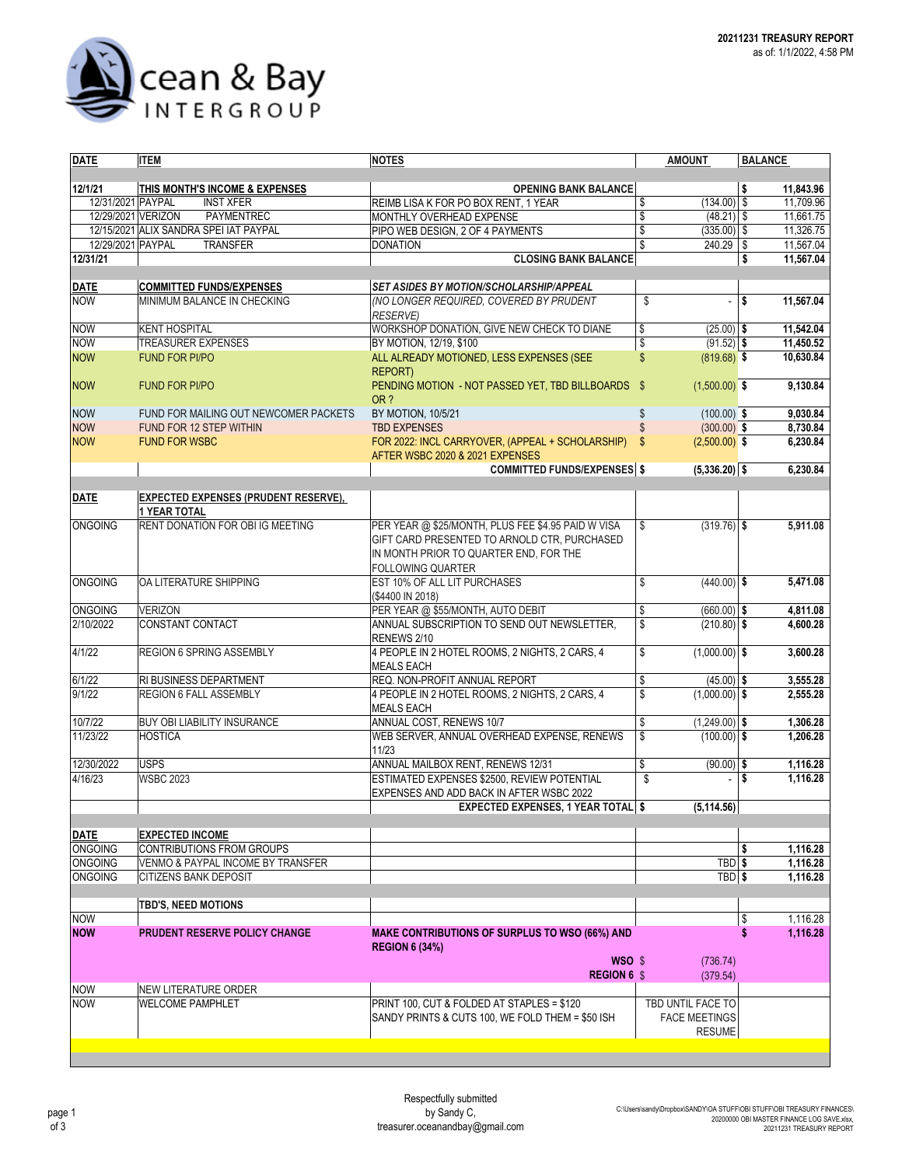

| <b>DATE</b>        | <b>ITEM</b>                                                        | <b>NOTES</b>                                                                        | <b>AMOUNT</b>         | <b>BALANCE</b> |           |  |  |
|--------------------|--------------------------------------------------------------------|-------------------------------------------------------------------------------------|-----------------------|----------------|-----------|--|--|
| 12/1/21            | THIS MONTH'S INCOME & EXPENSES                                     | <b>OPENING BANK BALANCE</b>                                                         |                       | Ŝ.             | 11,843.96 |  |  |
| 12/31/2021 PAYPAL  | <b>INST XFER</b>                                                   | REIMB LISA K FOR PO BOX RENT, 1 YEAR                                                | \$<br>$(134.00)$ \$   |                | 11,709.96 |  |  |
| 12/29/2021 VERIZON | <b>PAYMENTREC</b>                                                  | MONTHLY OVERHEAD EXPENSE                                                            | \$<br>$(48.21)$ \$    |                | 11,661.75 |  |  |
|                    | 12/15/2021 ALIX SANDRA SPEI IAT PAYPAL                             | PIPO WEB DESIGN, 2 OF 4 PAYMENTS                                                    | \$<br>$(335.00)$ \$   |                | 11,326.75 |  |  |
| 12/29/2021 PAYPAL  |                                                                    | <b>DONATION</b>                                                                     | \$<br>$240.29$ \$     |                | 11,567.04 |  |  |
|                    | <b>TRANSFER</b>                                                    |                                                                                     |                       |                |           |  |  |
| 12/31/21           |                                                                    | <b>CLOSING BANK BALANCE</b>                                                         |                       | \$             | 11,567.04 |  |  |
| <b>DATE</b>        | <b>COMMITTED FUNDS/EXPENSES</b>                                    | <b>SET ASIDES BY MOTION/SCHOLARSHIP/APPEAL</b>                                      |                       |                |           |  |  |
| <b>NOW</b>         | MINIMUM BALANCE IN CHECKING                                        | (NO LONGER REQUIRED, COVERED BY PRUDENT                                             | \$<br>÷,              | \$             | 11,567.04 |  |  |
|                    |                                                                    | <b>RESERVE)</b>                                                                     |                       |                |           |  |  |
| <b>NOW</b>         | <b>KENT HOSPITAL</b>                                               | WORKSHOP DONATION, GIVE NEW CHECK TO DIANE                                          | \$<br>$(25.00)$ \$    |                | 11,542.04 |  |  |
| <b>NOW</b>         | <b>TREASURER EXPENSES</b>                                          | BY MOTION, 12/19, \$100                                                             | \$<br>$(91.52)$ \$    |                | 11,450.52 |  |  |
| <b>NOW</b>         | <b>FUND FOR PI/PO</b>                                              | ALL ALREADY MOTIONED, LESS EXPENSES (SEE<br><b>REPORT)</b>                          | \$<br>$(819.68)$ \$   |                | 10,630.84 |  |  |
| <b>NOW</b>         | <b>FUND FOR PI/PO</b>                                              | PENDING MOTION - NOT PASSED YET, TBD BILLBOARDS \$<br>OR ?                          | $(1,500.00)$ \$       |                | 9,130.84  |  |  |
| <b>NOW</b>         | FUND FOR MAILING OUT NEWCOMER PACKETS                              | BY MOTION, 10/5/21                                                                  | \$<br>$(100.00)$ \$   |                | 9,030.84  |  |  |
| <b>NOW</b>         | FUND FOR 12 STEP WITHIN                                            | <b>TBD EXPENSES</b>                                                                 | \$<br>$(300.00)$ \$   |                | 8,730.84  |  |  |
| <b>NOW</b>         | <b>FUND FOR WSBC</b>                                               | FOR 2022: INCL CARRYOVER, (APPEAL + SCHOLARSHIP)<br>AFTER WSBC 2020 & 2021 EXPENSES | \$<br>$(2,500.00)$ \$ |                | 6,230.84  |  |  |
|                    |                                                                    | <b>COMMITTED FUNDS/EXPENSES \$</b>                                                  | $(5,336.20)$ \$       |                | 6,230.84  |  |  |
|                    |                                                                    |                                                                                     |                       |                |           |  |  |
| <b>DATE</b>        | <b>EXPECTED EXPENSES (PRUDENT RESERVE),</b><br><b>1 YEAR TOTAL</b> |                                                                                     |                       |                |           |  |  |
| <b>ONGOING</b>     | RENT DONATION FOR OBI IG MEETING                                   | PER YEAR @ \$25/MONTH, PLUS FEE \$4.95 PAID W VISA                                  | \$<br>$(319.76)$ \$   |                | 5,911.08  |  |  |
|                    |                                                                    | GIFT CARD PRESENTED TO ARNOLD CTR, PURCHASED                                        |                       |                |           |  |  |
|                    |                                                                    | IN MONTH PRIOR TO QUARTER END, FOR THE                                              |                       |                |           |  |  |
|                    |                                                                    | <b>FOLLOWING QUARTER</b>                                                            |                       |                |           |  |  |
| <b>ONGOING</b>     | OA LITERATURE SHIPPING                                             | EST 10% OF ALL LIT PURCHASES                                                        | \$<br>$(440.00)$ \$   |                | 5,471.08  |  |  |
|                    |                                                                    | (\$4400 IN 2018)                                                                    |                       |                |           |  |  |
| <b>ONGOING</b>     | <b>VERIZON</b>                                                     | PER YEAR @ \$55/MONTH, AUTO DEBIT                                                   | \$<br>$(660.00)$ \$   |                | 4,811.08  |  |  |
| 2/10/2022          | CONSTANT CONTACT                                                   | ANNUAL SUBSCRIPTION TO SEND OUT NEWSLETTER,                                         | \$<br>$(210.80)$ \$   |                | 4,600.28  |  |  |
|                    |                                                                    | RENEWS 2/10                                                                         |                       |                |           |  |  |
| 4/1/22             | REGION 6 SPRING ASSEMBLY                                           | 4 PEOPLE IN 2 HOTEL ROOMS, 2 NIGHTS, 2 CARS, 4<br><b>MEALS EACH</b>                 | \$<br>$(1,000.00)$ \$ |                | 3,600.28  |  |  |
| 6/1/22             | <b>RI BUSINESS DEPARTMENT</b>                                      | REQ. NON-PROFIT ANNUAL REPORT                                                       | \$<br>$(45.00)$ \$    |                | 3,555.28  |  |  |
| 9/1/22             | REGION 6 FALL ASSEMBLY                                             | 4 PEOPLE IN 2 HOTEL ROOMS, 2 NIGHTS, 2 CARS, 4<br><b>MEALS EACH</b>                 | \$<br>$(1,000.00)$ \$ |                | 2,555.28  |  |  |
| 10/7/22            | <b>BUY OBI LIABILITY INSURANCE</b>                                 | ANNUAL COST, RENEWS 10/7                                                            | \$<br>$(1,249.00)$ \$ |                | 1,306.28  |  |  |
| 11/23/22           | <b>HOSTICA</b>                                                     | WEB SERVER, ANNUAL OVERHEAD EXPENSE, RENEWS                                         | \$<br>$(100.00)$ \$   |                | 1,206.28  |  |  |
|                    |                                                                    | 11/23                                                                               |                       |                |           |  |  |
| 12/30/2022         | <b>USPS</b>                                                        | ANNUAL MAILBOX RENT, RENEWS 12/31                                                   | \$<br>$(90.00)$ \$    |                | 1,116.28  |  |  |
| 4/16/23            | <b>WSBC 2023</b>                                                   | ESTIMATED EXPENSES \$2500. REVIEW POTENTIAL                                         | \$                    | Ŝ              | 1,116.28  |  |  |
|                    |                                                                    | EXPENSES AND ADD BACK IN AFTER WSBC 2022                                            |                       |                |           |  |  |
|                    |                                                                    | <b>EXPECTED EXPENSES, 1 YEAR TOTAL \$</b>                                           | (5, 114.56)           |                |           |  |  |
| <b>DATE</b>        | <b>EXPECTED INCOME</b>                                             |                                                                                     |                       |                |           |  |  |
| <b>ONGOING</b>     | <b>CONTRIBUTIONS FROM GROUPS</b>                                   |                                                                                     |                       | \$             | 1,116.28  |  |  |
| <b>ONGOING</b>     | VENMO & PAYPAL INCOME BY TRANSFER                                  |                                                                                     | TBD \$                |                | 1,116.28  |  |  |
| <b>ONGOING</b>     | <b>CITIZENS BANK DEPOSIT</b>                                       |                                                                                     | TBD \$                |                | 1,116.28  |  |  |
|                    |                                                                    |                                                                                     |                       |                |           |  |  |
|                    | <b>TBD'S, NEED MOTIONS</b>                                         |                                                                                     |                       |                |           |  |  |
| <b>NOW</b>         |                                                                    |                                                                                     |                       | \$             | 1,116.28  |  |  |
| <b>NOW</b>         | PRUDENT RESERVE POLICY CHANGE                                      | <b>MAKE CONTRIBUTIONS OF SURPLUS TO WSO (66%) AND</b><br><b>REGION 6 (34%)</b>      |                       | \$             | 1,116.28  |  |  |
|                    |                                                                    | WSO \$<br><b>REGION 6 \$</b>                                                        | (736.74)<br>(379.54)  |                |           |  |  |
| <b>NOW</b>         | <b>NEW LITERATURE ORDER</b>                                        |                                                                                     |                       |                |           |  |  |
| <b>NOW</b>         | <b>WELCOME PAMPHLET</b>                                            | PRINT 100, CUT & FOLDED AT STAPLES = \$120                                          | TBD UNTIL FACE TO     |                |           |  |  |
|                    |                                                                    | SANDY PRINTS & CUTS 100, WE FOLD THEM = \$50 ISH                                    | <b>FACE MEETINGS</b>  |                |           |  |  |
|                    |                                                                    |                                                                                     | <b>RESUME</b>         |                |           |  |  |
|                    |                                                                    |                                                                                     |                       |                |           |  |  |
|                    |                                                                    |                                                                                     |                       |                |           |  |  |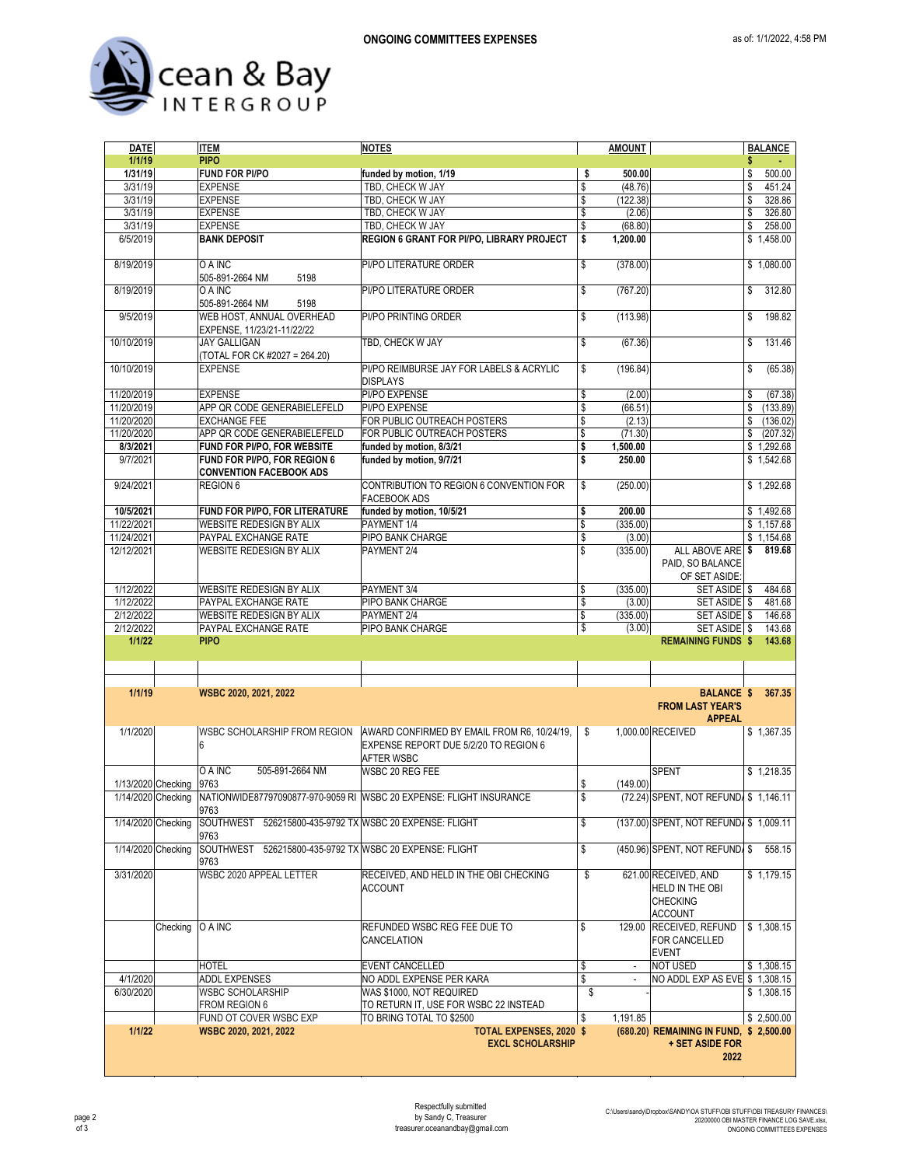

| <b>DATE</b>        |          | <b>ITEM</b>                                                     | <b>NOTES</b>                                                                                                                             |          | <b>AMOUNT</b>      |                                                                              |          | <b>BALANCE</b>   |
|--------------------|----------|-----------------------------------------------------------------|------------------------------------------------------------------------------------------------------------------------------------------|----------|--------------------|------------------------------------------------------------------------------|----------|------------------|
| 1/1/19             |          | <b>PIPO</b>                                                     |                                                                                                                                          |          |                    |                                                                              | \$       |                  |
| 1/31/19            |          | <b>FUND FOR PI/PO</b>                                           | funded by motion, 1/19                                                                                                                   | \$       | 500.00             |                                                                              | \$       | 500.00           |
| 3/31/19            |          | <b>EXPENSE</b>                                                  | TBD, CHECK W JAY                                                                                                                         | \$       | (48.76)            |                                                                              | \$       | 451.24           |
| 3/31/19<br>3/31/19 |          | <b>EXPENSE</b><br><b>EXPENSE</b>                                | TBD, CHECK W JAY<br>TBD, CHECK W JAY                                                                                                     | \$<br>\$ | (122.38)<br>(2.06) |                                                                              | \$<br>\$ | 328.86<br>326.80 |
| 3/31/19            |          | <b>EXPENSE</b>                                                  | TBD. CHECK W JAY                                                                                                                         | \$       | (68.80)            |                                                                              | \$       | 258.00           |
| 6/5/2019           |          | <b>BANK DEPOSIT</b>                                             | REGION 6 GRANT FOR PI/PO, LIBRARY PROJECT                                                                                                | \$       | 1,200.00           |                                                                              |          | \$1,458.00       |
|                    |          |                                                                 |                                                                                                                                          |          |                    |                                                                              |          |                  |
| 8/19/2019          |          | O A INC<br>505-891-2664 NM<br>5198                              | PI/PO LITERATURE ORDER                                                                                                                   | \$       | (378.00)           |                                                                              |          | \$1,080.00       |
| 8/19/2019          |          | O A INC<br>505-891-2664 NM<br>5198                              | PI/PO LITERATURE ORDER                                                                                                                   | \$       | (767.20)           |                                                                              | \$       | 312.80           |
| 9/5/2019           |          | WEB HOST, ANNUAL OVERHEAD<br>EXPENSE, 11/23/21-11/22/22         | PI/PO PRINTING ORDER                                                                                                                     | \$       | (113.98)           |                                                                              | \$       | 198.82           |
| 10/10/2019         |          | <b>JAY GALLIGAN</b><br>(TOTAL FOR CK #2027 = 264.20)            | TBD, CHECK W JAY                                                                                                                         | \$       | (67.36)            |                                                                              | \$       | 131.46           |
| 10/10/2019         |          | <b>EXPENSE</b>                                                  | PI/PO REIMBURSE JAY FOR LABELS & ACRYLIC<br><b>DISPLAYS</b>                                                                              | \$       | (196.84)           |                                                                              | \$       | (65.38)          |
| 11/20/2019         |          | <b>EXPENSE</b>                                                  | PI/PO EXPENSE                                                                                                                            | \$       | (2.00)             |                                                                              | \$       | (67.38)          |
| 11/20/2019         |          | APP QR CODE GENERABIELEFELD                                     | PI/PO EXPENSE                                                                                                                            | \$       | (66.51)            |                                                                              | \$       | (133.89)         |
| 11/20/2020         |          | <b>EXCHANGE FEE</b>                                             | FOR PUBLIC OUTREACH POSTERS                                                                                                              | \$       | (2.13)             |                                                                              | \$       | (136.02)         |
| 11/20/2020         |          | APP QR CODE GENERABIELEFELD                                     | FOR PUBLIC OUTREACH POSTERS                                                                                                              | \$       | (71.30)            |                                                                              | \$       | (207.32)         |
| 8/3/2021           |          | FUND FOR PI/PO, FOR WEBSITE                                     | funded by motion, 8/3/21                                                                                                                 | \$       | 1,500.00           |                                                                              |          | \$1,292.68       |
| 9/7/2021           |          | FUND FOR PI/PO, FOR REGION 6<br><b>CONVENTION FACEBOOK ADS</b>  | funded by motion, 9/7/21                                                                                                                 | \$       | 250.00             |                                                                              |          | \$1,542.68       |
| 9/24/2021          |          | REGION 6                                                        | CONTRIBUTION TO REGION 6 CONVENTION FOR<br><b>FACEBOOK ADS</b>                                                                           | \$       | (250.00)           |                                                                              |          | \$1,292.68       |
| 10/5/2021          |          | FUND FOR PI/PO, FOR LITERATURE                                  | funded by motion, 10/5/21                                                                                                                | \$       | 200.00             |                                                                              |          | \$1,492.68       |
| 11/22/2021         |          | WEBSITE REDESIGN BY ALIX                                        | PAYMENT 1/4                                                                                                                              | \$       | (335.00)           |                                                                              |          | \$1,157.68       |
| 11/24/2021         |          | PAYPAL EXCHANGE RATE                                            | PIPO BANK CHARGE                                                                                                                         | \$       | (3.00)             |                                                                              |          | \$1,154.68       |
| 12/12/2021         |          | WEBSITE REDESIGN BY ALIX                                        | PAYMENT 2/4                                                                                                                              | \$       | (335.00)           | ALL ABOVE ARE<br>PAID, SO BALANCE<br>OF SET ASIDE:                           | \$       | 819.68           |
| 1/12/2022          |          | WEBSITE REDESIGN BY ALIX                                        | PAYMENT 3/4                                                                                                                              | \$       | (335.00)           | SET ASIDE \$                                                                 |          | 484.68           |
| 1/12/2022          |          | PAYPAL EXCHANGE RATE                                            | PIPO BANK CHARGE                                                                                                                         | \$       | (3.00)             | SET ASIDE \$                                                                 |          | 481.68           |
| 2/12/2022          |          | WEBSITE REDESIGN BY ALIX                                        | PAYMENT 2/4                                                                                                                              | \$       | (335.00)           | SET ASIDE \$                                                                 |          | 146.68           |
| 2/12/2022          |          | PAYPAL EXCHANGE RATE                                            | PIPO BANK CHARGE                                                                                                                         | \$       | (3.00)             | SET ASIDE \$                                                                 |          | 143.68           |
| 1/1/22             |          | <b>PIPO</b>                                                     |                                                                                                                                          |          |                    | <b>REMAINING FUNDS \$</b>                                                    |          | 143.68           |
|                    |          |                                                                 |                                                                                                                                          |          |                    |                                                                              |          |                  |
|                    |          |                                                                 |                                                                                                                                          |          |                    |                                                                              |          |                  |
| 1/1/19             |          | WSBC 2020, 2021, 2022                                           |                                                                                                                                          |          |                    | <b>BALANCE \$</b><br><b>FROM LAST YEAR'S</b><br><b>APPEAL</b>                |          | 367.35           |
| 1/1/2020           |          | 6                                                               | WSBC SCHOLARSHIP FROM REGION   AWARD CONFIRMED BY EMAIL FROM R6, 10/24/19,<br>EXPENSE REPORT DUE 5/2/20 TO REGION 6<br><b>AFTER WSBC</b> | \$       |                    | 1,000.00 RECEIVED                                                            |          | \$1,367.35       |
|                    |          | O A INC<br>505-891-2664 NM                                      | WSBC 20 REG FEE                                                                                                                          |          |                    | <b>SPENT</b>                                                                 |          | \$1.218.35       |
| 1/13/2020 Checking |          | 9763                                                            |                                                                                                                                          | \$       | (149.00)           |                                                                              |          |                  |
|                    |          | 9763                                                            | 1/14/2020 Checking NATIONWIDE87797090877-970-9059 RI WSBC 20 EXPENSE: FLIGHT INSURANCE                                                   | \$       |                    | (72.24) SPENT, NOT REFUND \$ 1,146.11                                        |          |                  |
| 1/14/2020 Checking |          | SOUTHWEST 526215800-435-9792 TX WSBC 20 EXPENSE: FLIGHT<br>9763 |                                                                                                                                          | \$       |                    | (137.00) SPENT, NOT REFUND \$ 1,009.11                                       |          |                  |
| 1/14/2020 Checking |          | SOUTHWEST 526215800-435-9792 TX WSBC 20 EXPENSE: FLIGHT<br>9763 |                                                                                                                                          | \$       |                    | (450.96) SPENT, NOT REFUND. \$                                               |          | 558.15           |
| 3/31/2020          |          | WSBC 2020 APPEAL LETTER                                         | RECEIVED, AND HELD IN THE OBI CHECKING<br><b>ACCOUNT</b>                                                                                 | \$       |                    | 621.00 RECEIVED, AND<br>HELD IN THE OBI<br><b>CHECKING</b><br><b>ACCOUNT</b> |          | \$1,179.15       |
|                    | Checking | O A INC                                                         | REFUNDED WSBC REG FEE DUE TO<br>CANCELATION                                                                                              | \$       | 129.00             | RECEIVED, REFUND<br>FOR CANCELLED<br><b>EVENT</b>                            |          | \$1,308.15       |
|                    |          | <b>HOTEL</b>                                                    | <b>EVENT CANCELLED</b>                                                                                                                   | \$       | $\blacksquare$     | <b>NOT USED</b>                                                              |          | \$1,308.15       |
| 4/1/2020           |          | ADDL EXPENSES                                                   | NO ADDL EXPENSE PER KARA                                                                                                                 | \$       | $\blacksquare$     | NO ADDL EXP AS EVE                                                           |          | \$1,308.15       |
| 6/30/2020          |          | <b>WSBC SCHOLARSHIP</b>                                         | WAS \$1000, NOT REQUIRED                                                                                                                 | \$       |                    |                                                                              |          | \$1,308.15       |
|                    |          | FROM REGION 6                                                   | TO RETURN IT, USE FOR WSBC 22 INSTEAD                                                                                                    |          |                    |                                                                              |          |                  |
| 1/1/22             |          | FUND OT COVER WSBC EXP                                          | TO BRING TOTAL TO \$2500                                                                                                                 | \$       | 1,191.85           |                                                                              |          | \$2,500.00       |
|                    |          | WSBC 2020, 2021, 2022                                           | <b>TOTAL EXPENSES, 2020 \$</b><br><b>EXCL SCHOLARSHIP</b>                                                                                |          |                    | (680.20) REMAINING IN FUND, \$ 2,500.00<br>+ SET ASIDE FOR                   |          |                  |
|                    |          |                                                                 |                                                                                                                                          |          |                    | 2022                                                                         |          |                  |
|                    |          |                                                                 |                                                                                                                                          |          |                    |                                                                              |          |                  |